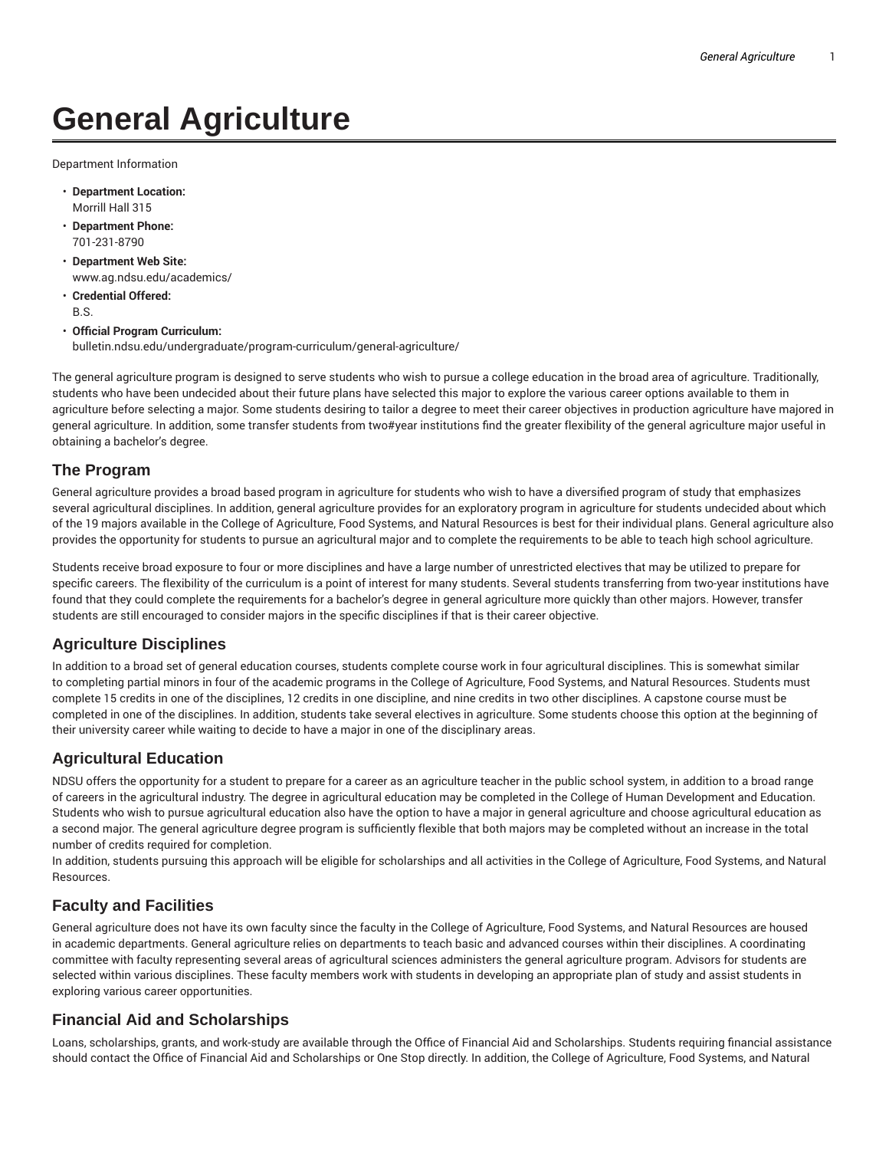# **General Agriculture**

Department Information

- **Department Location:** Morrill Hall 315
- **Department Phone:** 701-231-8790
- **Department Web Site:** www.ag.ndsu.edu/academics/
- **Credential Offered:** B.S.
- **Official Program Curriculum:** bulletin.ndsu.edu/undergraduate/program-curriculum/general-agriculture/

The general agriculture program is designed to serve students who wish to pursue a college education in the broad area of agriculture. Traditionally, students who have been undecided about their future plans have selected this major to explore the various career options available to them in agriculture before selecting a major. Some students desiring to tailor a degree to meet their career objectives in production agriculture have majored in general agriculture. In addition, some transfer students from two#year institutions find the greater flexibility of the general agriculture major useful in obtaining a bachelor's degree.

#### **The Program**

General agriculture provides a broad based program in agriculture for students who wish to have a diversified program of study that emphasizes several agricultural disciplines. In addition, general agriculture provides for an exploratory program in agriculture for students undecided about which of the 19 majors available in the College of Agriculture, Food Systems, and Natural Resources is best for their individual plans. General agriculture also provides the opportunity for students to pursue an agricultural major and to complete the requirements to be able to teach high school agriculture.

Students receive broad exposure to four or more disciplines and have a large number of unrestricted electives that may be utilized to prepare for specific careers. The flexibility of the curriculum is a point of interest for many students. Several students transferring from two-year institutions have found that they could complete the requirements for a bachelor's degree in general agriculture more quickly than other majors. However, transfer students are still encouraged to consider majors in the specific disciplines if that is their career objective.

### **Agriculture Disciplines**

In addition to a broad set of general education courses, students complete course work in four agricultural disciplines. This is somewhat similar to completing partial minors in four of the academic programs in the College of Agriculture, Food Systems, and Natural Resources. Students must complete 15 credits in one of the disciplines, 12 credits in one discipline, and nine credits in two other disciplines. A capstone course must be completed in one of the disciplines. In addition, students take several electives in agriculture. Some students choose this option at the beginning of their university career while waiting to decide to have a major in one of the disciplinary areas.

### **Agricultural Education**

NDSU offers the opportunity for a student to prepare for a career as an agriculture teacher in the public school system, in addition to a broad range of careers in the agricultural industry. The degree in agricultural education may be completed in the College of Human Development and Education. Students who wish to pursue agricultural education also have the option to have a major in general agriculture and choose agricultural education as a second major. The general agriculture degree program is sufficiently flexible that both majors may be completed without an increase in the total number of credits required for completion.

In addition, students pursuing this approach will be eligible for scholarships and all activities in the College of Agriculture, Food Systems, and Natural Resources.

### **Faculty and Facilities**

General agriculture does not have its own faculty since the faculty in the College of Agriculture, Food Systems, and Natural Resources are housed in academic departments. General agriculture relies on departments to teach basic and advanced courses within their disciplines. A coordinating committee with faculty representing several areas of agricultural sciences administers the general agriculture program. Advisors for students are selected within various disciplines. These faculty members work with students in developing an appropriate plan of study and assist students in exploring various career opportunities.

### **Financial Aid and Scholarships**

Loans, scholarships, grants, and work-study are available through the Office of Financial Aid and Scholarships. Students requiring financial assistance should contact the Office of Financial Aid and Scholarships or One Stop directly. In addition, the College of Agriculture, Food Systems, and Natural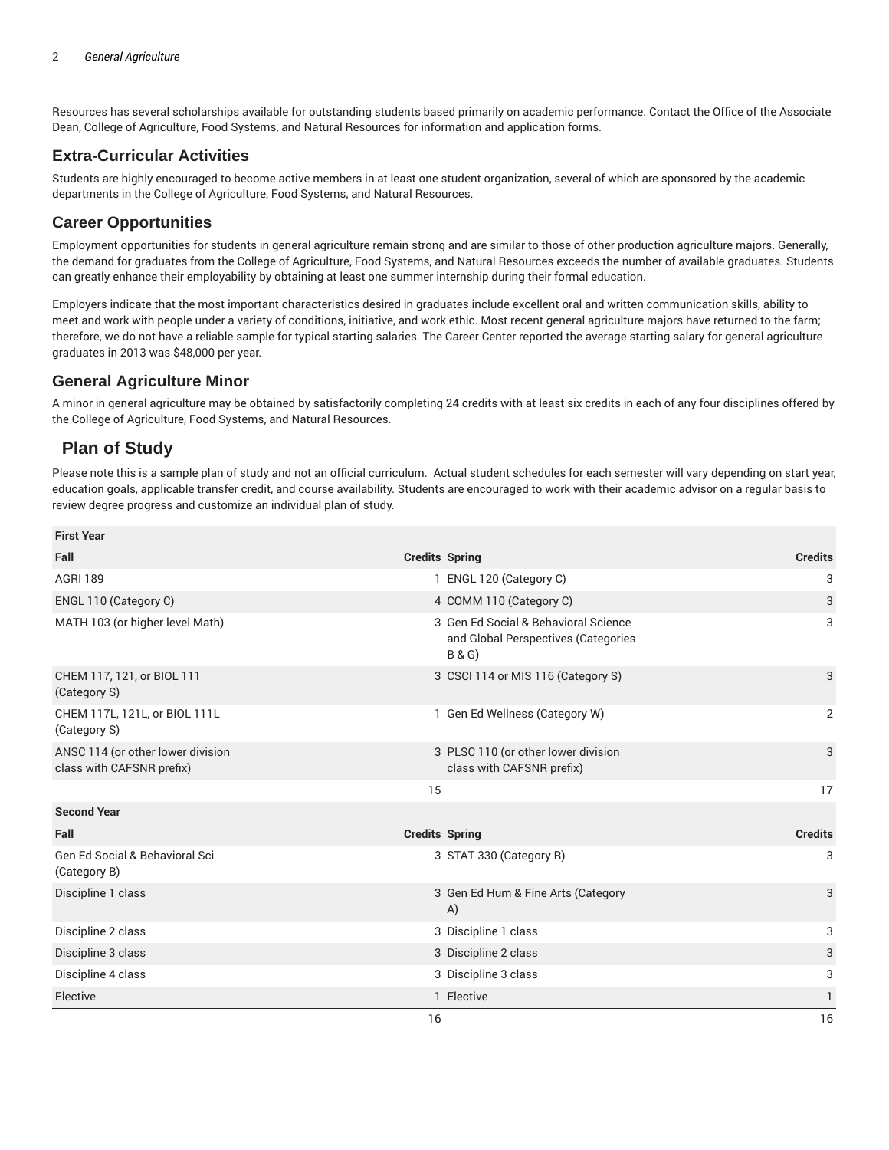Resources has several scholarships available for outstanding students based primarily on academic performance. Contact the Office of the Associate Dean, College of Agriculture, Food Systems, and Natural Resources for information and application forms.

### **Extra-Curricular Activities**

Students are highly encouraged to become active members in at least one student organization, several of which are sponsored by the academic departments in the College of Agriculture, Food Systems, and Natural Resources.

## **Career Opportunities**

Employment opportunities for students in general agriculture remain strong and are similar to those of other production agriculture majors. Generally, the demand for graduates from the College of Agriculture, Food Systems, and Natural Resources exceeds the number of available graduates. Students can greatly enhance their employability by obtaining at least one summer internship during their formal education.

Employers indicate that the most important characteristics desired in graduates include excellent oral and written communication skills, ability to meet and work with people under a variety of conditions, initiative, and work ethic. Most recent general agriculture majors have returned to the farm; therefore, we do not have a reliable sample for typical starting salaries. The Career Center reported the average starting salary for general agriculture graduates in 2013 was \$48,000 per year.

#### **General Agriculture Minor**

A minor in general agriculture may be obtained by satisfactorily completing 24 credits with at least six credits in each of any four disciplines offered by the College of Agriculture, Food Systems, and Natural Resources.

# **Plan of Study**

Please note this is a sample plan of study and not an official curriculum. Actual student schedules for each semester will vary depending on start year, education goals, applicable transfer credit, and course availability. Students are encouraged to work with their academic advisor on a regular basis to review degree progress and customize an individual plan of study.

| <b>First Year</b>                                              |    |                                                                                                 |                |
|----------------------------------------------------------------|----|-------------------------------------------------------------------------------------------------|----------------|
| Fall                                                           |    | <b>Credits Spring</b>                                                                           | <b>Credits</b> |
| <b>AGRI 189</b>                                                |    | 1 ENGL 120 (Category C)                                                                         | 3              |
| ENGL 110 (Category C)                                          |    | 4 COMM 110 (Category C)                                                                         | 3              |
| MATH 103 (or higher level Math)                                |    | 3 Gen Ed Social & Behavioral Science<br>and Global Perspectives (Categories<br><b>B&amp;G</b> ) | 3              |
| CHEM 117, 121, or BIOL 111<br>(Category S)                     |    | 3 CSCI 114 or MIS 116 (Category S)                                                              | 3              |
| CHEM 117L, 121L, or BIOL 111L<br>(Category S)                  |    | 1 Gen Ed Wellness (Category W)                                                                  | $\overline{2}$ |
| ANSC 114 (or other lower division<br>class with CAFSNR prefix) |    | 3 PLSC 110 (or other lower division<br>class with CAFSNR prefix)                                | 3              |
|                                                                | 15 |                                                                                                 | 17             |
| <b>Second Year</b>                                             |    |                                                                                                 |                |
| Fall                                                           |    | <b>Credits Spring</b>                                                                           | <b>Credits</b> |
| Gen Ed Social & Behavioral Sci<br>(Category B)                 |    | 3 STAT 330 (Category R)                                                                         | 3              |
| Discipline 1 class                                             |    | 3 Gen Ed Hum & Fine Arts (Category<br>A)                                                        | 3              |
| Discipline 2 class                                             |    | 3 Discipline 1 class                                                                            | 3              |
| Discipline 3 class                                             |    | 3 Discipline 2 class                                                                            | 3              |
| Discipline 4 class                                             |    | 3 Discipline 3 class                                                                            | 3              |
| Elective                                                       |    | 1 Elective                                                                                      | 1              |
|                                                                | 16 |                                                                                                 | 16             |